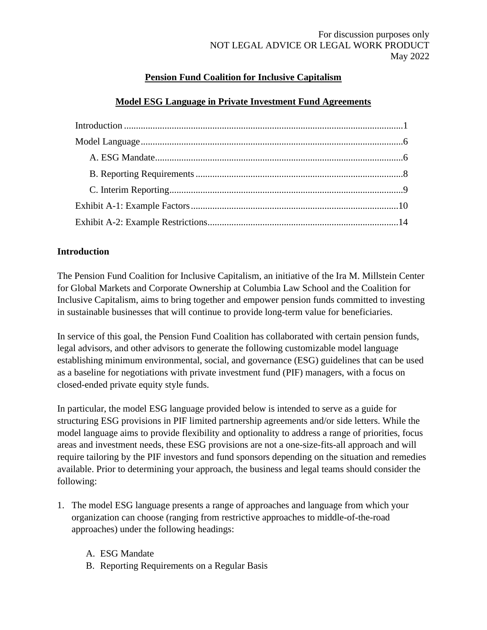# **Pension Fund Coalition for Inclusive Capitalism**

## **Model ESG Language in Private Investment Fund Agreements**

## <span id="page-0-0"></span>**Introduction**

The Pension Fund Coalition for Inclusive Capitalism, an initiative of the Ira M. Millstein Center for Global Markets and Corporate Ownership at Columbia Law School and the Coalition for Inclusive Capitalism, aims to bring together and empower pension funds committed to investing in sustainable businesses that will continue to provide long-term value for beneficiaries.

In service of this goal, the Pension Fund Coalition has collaborated with certain pension funds, legal advisors, and other advisors to generate the following customizable model language establishing minimum environmental, social, and governance (ESG) guidelines that can be used as a baseline for negotiations with private investment fund (PIF) managers, with a focus on closed-ended private equity style funds.

In particular, the model ESG language provided below is intended to serve as a guide for structuring ESG provisions in PIF limited partnership agreements and/or side letters. While the model language aims to provide flexibility and optionality to address a range of priorities, focus areas and investment needs, these ESG provisions are not a one-size-fits-all approach and will require tailoring by the PIF investors and fund sponsors depending on the situation and remedies available. Prior to determining your approach, the business and legal teams should consider the following:

- 1. The model ESG language presents a range of approaches and language from which your organization can choose (ranging from restrictive approaches to middle-of-the-road approaches) under the following headings:
	- A. ESG Mandate
	- B. Reporting Requirements on a Regular Basis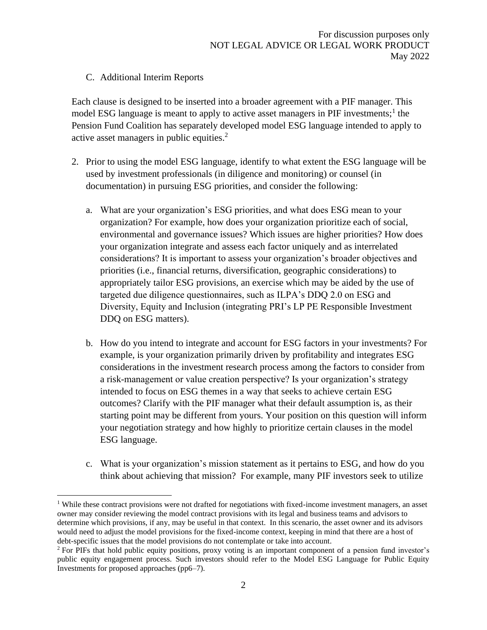## C. Additional Interim Reports

Each clause is designed to be inserted into a broader agreement with a PIF manager. This model ESG language is meant to apply to active asset managers in PIF investments;<sup>1</sup> the Pension Fund Coalition has separately developed model ESG language intended to apply to active asset managers in public equities.<sup>2</sup>

- 2. Prior to using the model ESG language, identify to what extent the ESG language will be used by investment professionals (in diligence and monitoring) or counsel (in documentation) in pursuing ESG priorities, and consider the following:
	- a. What are your organization's ESG priorities, and what does ESG mean to your organization? For example, how does your organization prioritize each of social, environmental and governance issues? Which issues are higher priorities? How does your organization integrate and assess each factor uniquely and as interrelated considerations? It is important to assess your organization's broader objectives and priorities (i.e., financial returns, diversification, geographic considerations) to appropriately tailor ESG provisions, an exercise which may be aided by the use of targeted due diligence questionnaires, such as ILPA's DDQ 2.0 on ESG and Diversity, Equity and Inclusion (integrating PRI's LP PE Responsible Investment DDQ on ESG matters).
	- b. How do you intend to integrate and account for ESG factors in your investments? For example, is your organization primarily driven by profitability and integrates ESG considerations in the investment research process among the factors to consider from a risk-management or value creation perspective? Is your organization's strategy intended to focus on ESG themes in a way that seeks to achieve certain ESG outcomes? Clarify with the PIF manager what their default assumption is, as their starting point may be different from yours. Your position on this question will inform your negotiation strategy and how highly to prioritize certain clauses in the model ESG language.
	- c. What is your organization's mission statement as it pertains to ESG, and how do you think about achieving that mission? For example, many PIF investors seek to utilize

<sup>&</sup>lt;sup>1</sup> While these contract provisions were not drafted for negotiations with fixed-income investment managers, an asset owner may consider reviewing the model contract provisions with its legal and business teams and advisors to determine which provisions, if any, may be useful in that context. In this scenario, the asset owner and its advisors would need to adjust the model provisions for the fixed-income context, keeping in mind that there are a host of debt-specific issues that the model provisions do not contemplate or take into account.

<sup>2</sup> For PIFs that hold public equity positions, proxy voting is an important component of a pension fund investor's public equity engagement process. Such investors should refer to the Model ESG Language for Public Equity Investments for proposed approaches (pp6–7).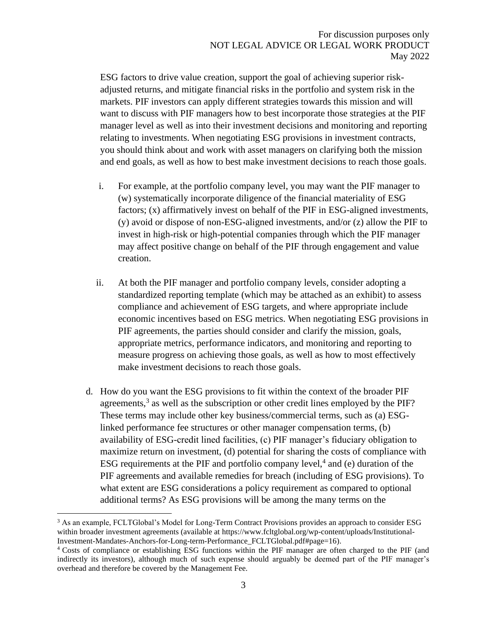ESG factors to drive value creation, support the goal of achieving superior riskadjusted returns, and mitigate financial risks in the portfolio and system risk in the markets. PIF investors can apply different strategies towards this mission and will want to discuss with PIF managers how to best incorporate those strategies at the PIF manager level as well as into their investment decisions and monitoring and reporting relating to investments. When negotiating ESG provisions in investment contracts, you should think about and work with asset managers on clarifying both the mission and end goals, as well as how to best make investment decisions to reach those goals.

- i. For example, at the portfolio company level, you may want the PIF manager to (w) systematically incorporate diligence of the financial materiality of ESG factors; (x) affirmatively invest on behalf of the PIF in ESG-aligned investments,  $(y)$  avoid or dispose of non-ESG-aligned investments, and/or  $(z)$  allow the PIF to invest in high-risk or high-potential companies through which the PIF manager may affect positive change on behalf of the PIF through engagement and value creation.
- ii. At both the PIF manager and portfolio company levels, consider adopting a standardized reporting template (which may be attached as an exhibit) to assess compliance and achievement of ESG targets, and where appropriate include economic incentives based on ESG metrics. When negotiating ESG provisions in PIF agreements, the parties should consider and clarify the mission, goals, appropriate metrics, performance indicators, and monitoring and reporting to measure progress on achieving those goals, as well as how to most effectively make investment decisions to reach those goals.
- d. How do you want the ESG provisions to fit within the context of the broader PIF agreements,<sup>3</sup> as well as the subscription or other credit lines employed by the PIF? These terms may include other key business/commercial terms, such as (a) ESGlinked performance fee structures or other manager compensation terms, (b) availability of ESG-credit lined facilities, (c) PIF manager's fiduciary obligation to maximize return on investment, (d) potential for sharing the costs of compliance with ESG requirements at the PIF and portfolio company level, $4$  and (e) duration of the PIF agreements and available remedies for breach (including of ESG provisions). To what extent are ESG considerations a policy requirement as compared to optional additional terms? As ESG provisions will be among the many terms on the

<sup>&</sup>lt;sup>3</sup> As an example, FCLTGlobal's Model for Long-Term Contract Provisions provides an approach to consider ESG within broader investment agreements (available at https://www.fcltglobal.org/wp-content/uploads/Institutional-Investment-Mandates-Anchors-for-Long-term-Performance\_FCLTGlobal.pdf#page=16).

<sup>4</sup> Costs of compliance or establishing ESG functions within the PIF manager are often charged to the PIF (and indirectly its investors), although much of such expense should arguably be deemed part of the PIF manager's overhead and therefore be covered by the Management Fee.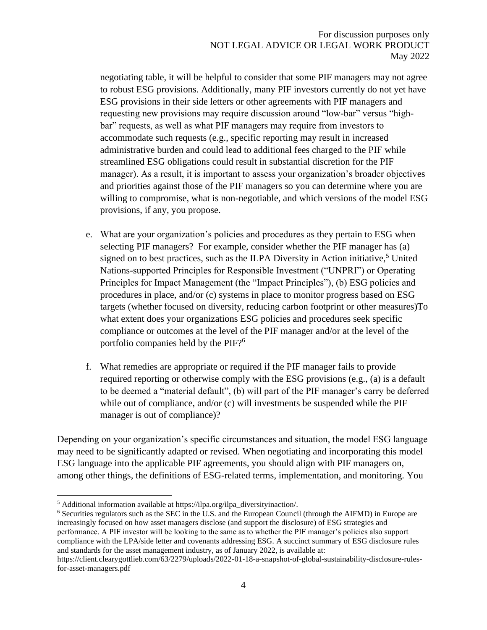negotiating table, it will be helpful to consider that some PIF managers may not agree to robust ESG provisions. Additionally, many PIF investors currently do not yet have ESG provisions in their side letters or other agreements with PIF managers and requesting new provisions may require discussion around "low-bar" versus "highbar" requests, as well as what PIF managers may require from investors to accommodate such requests (e.g., specific reporting may result in increased administrative burden and could lead to additional fees charged to the PIF while streamlined ESG obligations could result in substantial discretion for the PIF manager). As a result, it is important to assess your organization's broader objectives and priorities against those of the PIF managers so you can determine where you are willing to compromise, what is non-negotiable, and which versions of the model ESG provisions, if any, you propose.

- e. What are your organization's policies and procedures as they pertain to ESG when selecting PIF managers? For example, consider whether the PIF manager has (a) signed on to best practices, such as the ILPA Diversity in Action initiative,<sup>5</sup> United Nations-supported Principles for Responsible Investment ("UNPRI") or Operating Principles for Impact Management (the "Impact Principles"), (b) ESG policies and procedures in place, and/or (c) systems in place to monitor progress based on ESG targets (whether focused on diversity, reducing carbon footprint or other measures)To what extent does your organizations ESG policies and procedures seek specific compliance or outcomes at the level of the PIF manager and/or at the level of the portfolio companies held by the PIF?<sup>6</sup>
- f. What remedies are appropriate or required if the PIF manager fails to provide required reporting or otherwise comply with the ESG provisions (e.g., (a) is a default to be deemed a "material default", (b) will part of the PIF manager's carry be deferred while out of compliance, and/or (c) will investments be suspended while the PIF manager is out of compliance)?

Depending on your organization's specific circumstances and situation, the model ESG language may need to be significantly adapted or revised. When negotiating and incorporating this model ESG language into the applicable PIF agreements, you should align with PIF managers on, among other things, the definitions of ESG-related terms, implementation, and monitoring. You

<sup>6</sup> Securities regulators such as the SEC in the U.S. and the European Council (through the AIFMD) in Europe are increasingly focused on how asset managers disclose (and support the disclosure) of ESG strategies and performance. A PIF investor will be looking to the same as to whether the PIF manager's policies also support compliance with the LPA/side letter and covenants addressing ESG. A succinct summary of ESG disclosure rules and standards for the asset management industry, as of January 2022, is available at:

<sup>5</sup> Additional information available at https://ilpa.org/ilpa\_diversityinaction/.

https://client.clearygottlieb.com/63/2279/uploads/2022-01-18-a-snapshot-of-global-sustainability-disclosure-rulesfor-asset-managers.pdf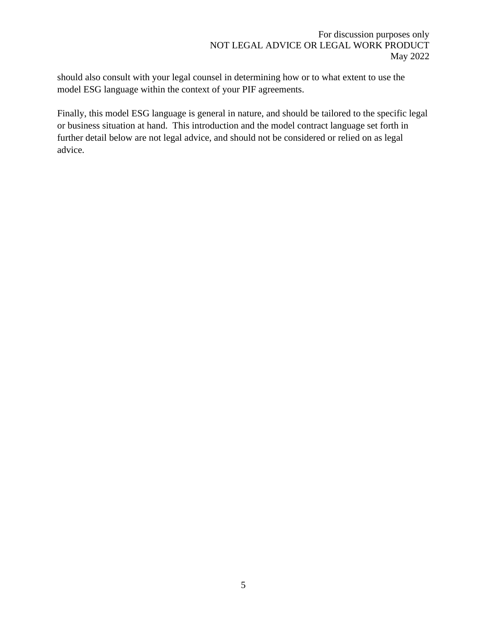should also consult with your legal counsel in determining how or to what extent to use the model ESG language within the context of your PIF agreements.

Finally, this model ESG language is general in nature, and should be tailored to the specific legal or business situation at hand. This introduction and the model contract language set forth in further detail below are not legal advice, and should not be considered or relied on as legal advice.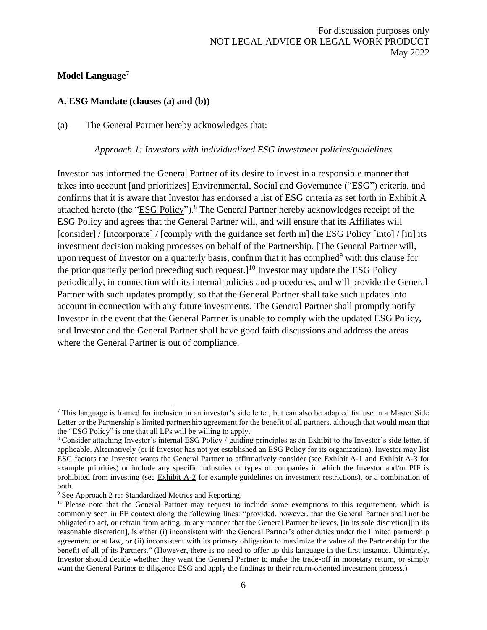## <span id="page-5-0"></span>**Model Language<sup>7</sup>**

### <span id="page-5-1"></span>**A. ESG Mandate (clauses (a) and (b))**

(a) The General Partner hereby acknowledges that:

#### *Approach 1: Investors with individualized ESG investment policies/guidelines*

Investor has informed the General Partner of its desire to invest in a responsible manner that takes into account [and prioritizes] Environmental, Social and Governance ("ESG") criteria, and confirms that it is aware that Investor has endorsed a list of ESG criteria as set forth in Exhibit A attached hereto (the "ESG Policy").<sup>8</sup> The General Partner hereby acknowledges receipt of the ESG Policy and agrees that the General Partner will, and will ensure that its Affiliates will [consider] / [incorporate] / [comply with the guidance set forth in] the ESG Policy [into] / [in] its investment decision making processes on behalf of the Partnership. [The General Partner will, upon request of Investor on a quarterly basis, confirm that it has complied $9$  with this clause for the prior quarterly period preceding such request.<sup>[10]</sup> Investor may update the ESG Policy periodically, in connection with its internal policies and procedures, and will provide the General Partner with such updates promptly, so that the General Partner shall take such updates into account in connection with any future investments. The General Partner shall promptly notify Investor in the event that the General Partner is unable to comply with the updated ESG Policy, and Investor and the General Partner shall have good faith discussions and address the areas where the General Partner is out of compliance.

 $<sup>7</sup>$  This language is framed for inclusion in an investor's side letter, but can also be adapted for use in a Master Side</sup> Letter or the Partnership's limited partnership agreement for the benefit of all partners, although that would mean that the "ESG Policy" is one that all LPs will be willing to apply.

<sup>&</sup>lt;sup>8</sup> Consider attaching Investor's internal ESG Policy / guiding principles as an Exhibit to the Investor's side letter, if applicable. Alternatively (or if Investor has not yet established an ESG Policy for its organization), Investor may list ESG factors the Investor wants the General Partner to affirmatively consider (see Exhibit A-1 and Exhibit A-3 for example priorities) or include any specific industries or types of companies in which the Investor and/or PIF is prohibited from investing (see  $Exhibit A-2$  for example guidelines on investment restrictions), or a combination of both.

<sup>9</sup> See Approach 2 re: Standardized Metrics and Reporting.

<sup>&</sup>lt;sup>10</sup> Please note that the General Partner may request to include some exemptions to this requirement, which is commonly seen in PE context along the following lines: "provided, however, that the General Partner shall not be obligated to act, or refrain from acting, in any manner that the General Partner believes, [in its sole discretion][in its reasonable discretion], is either (i) inconsistent with the General Partner's other duties under the limited partnership agreement or at law, or (ii) inconsistent with its primary obligation to maximize the value of the Partnership for the benefit of all of its Partners." (However, there is no need to offer up this language in the first instance. Ultimately, Investor should decide whether they want the General Partner to make the trade-off in monetary return, or simply want the General Partner to diligence ESG and apply the findings to their return-oriented investment process.)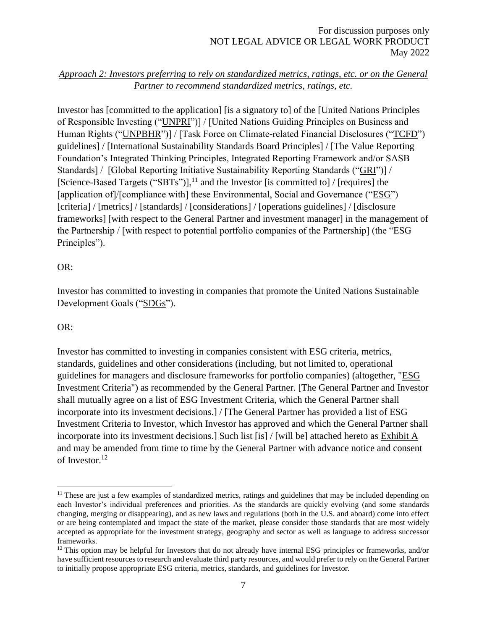# *Approach 2: Investors preferring to rely on standardized metrics, ratings, etc. or on the General Partner to recommend standardized metrics, ratings, etc.*

Investor has [committed to the application] [is a signatory to] of the [United Nations Principles of Responsible Investing ("UNPRI")] / [United Nations Guiding Principles on Business and Human Rights ("UNPBHR")] / [Task Force on Climate-related Financial Disclosures ("TCFD") guidelines] / [International Sustainability Standards Board Principles] / [The Value Reporting Foundation's Integrated Thinking Principles, Integrated Reporting Framework and/or SASB Standards] / [Global Reporting Initiative Sustainability Reporting Standards ("GRI")] / [Science-Based Targets ("SBTs")], $^{11}$  and the Investor [is committed to] / [requires] the [application of]/[compliance with] these Environmental, Social and Governance ("ESG") [criteria] / [metrics] / [standards] / [considerations] / [operations guidelines] / [disclosure frameworks] [with respect to the General Partner and investment manager] in the management of the Partnership / [with respect to potential portfolio companies of the Partnership] (the "ESG Principles").

## OR:

Investor has committed to investing in companies that promote the United Nations Sustainable Development Goals ("SDGs").

## OR:

Investor has committed to investing in companies consistent with ESG criteria, metrics, standards, guidelines and other considerations (including, but not limited to, operational guidelines for managers and disclosure frameworks for portfolio companies) (altogether, "ESG Investment Criteria") as recommended by the General Partner. [The General Partner and Investor shall mutually agree on a list of ESG Investment Criteria, which the General Partner shall incorporate into its investment decisions.] / [The General Partner has provided a list of ESG Investment Criteria to Investor, which Investor has approved and which the General Partner shall incorporate into its investment decisions.] Such list [is] / [will be] attached hereto as Exhibit A and may be amended from time to time by the General Partner with advance notice and consent of Investor.<sup>12</sup>

 $<sup>11</sup>$  These are just a few examples of standardized metrics, ratings and guidelines that may be included depending on</sup> each Investor's individual preferences and priorities. As the standards are quickly evolving (and some standards changing, merging or disappearing), and as new laws and regulations (both in the U.S. and aboard) come into effect or are being contemplated and impact the state of the market, please consider those standards that are most widely accepted as appropriate for the investment strategy, geography and sector as well as language to address successor frameworks.

<sup>&</sup>lt;sup>12</sup> This option may be helpful for Investors that do not already have internal ESG principles or frameworks, and/or have sufficient resources to research and evaluate third party resources, and would prefer to rely on the General Partner to initially propose appropriate ESG criteria, metrics, standards, and guidelines for Investor.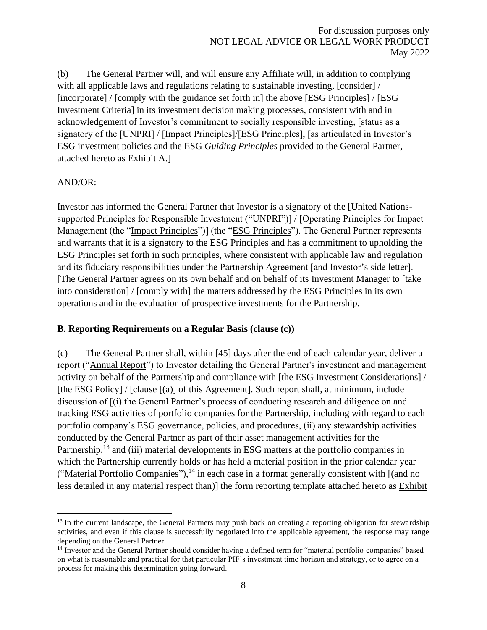(b) The General Partner will, and will ensure any Affiliate will, in addition to complying with all applicable laws and regulations relating to sustainable investing, [consider] / [incorporate] / [comply with the guidance set forth in] the above [ESG Principles] / [ESG Investment Criteria] in its investment decision making processes, consistent with and in acknowledgement of Investor's commitment to socially responsible investing, [status as a signatory of the [UNPRI] / [Impact Principles]/[ESG Principles], [as articulated in Investor's ESG investment policies and the ESG *Guiding Principles* provided to the General Partner, attached hereto as Exhibit A.]

#### AND/OR:

Investor has informed the General Partner that Investor is a signatory of the [United Nationssupported Principles for Responsible Investment ("UNPRI")] / [Operating Principles for Impact Management (the "Impact Principles")] (the "ESG Principles"). The General Partner represents and warrants that it is a signatory to the ESG Principles and has a commitment to upholding the ESG Principles set forth in such principles, where consistent with applicable law and regulation and its fiduciary responsibilities under the Partnership Agreement [and Investor's side letter]. [The General Partner agrees on its own behalf and on behalf of its Investment Manager to [take into consideration] / [comply with] the matters addressed by the ESG Principles in its own operations and in the evaluation of prospective investments for the Partnership.

#### <span id="page-7-0"></span>**B. Reporting Requirements on a Regular Basis (clause (c))**

(c) The General Partner shall, within [45] days after the end of each calendar year, deliver a report ("Annual Report") to Investor detailing the General Partner's investment and management activity on behalf of the Partnership and compliance with [the ESG Investment Considerations] / [the ESG Policy] / [clause [(a)] of this Agreement]. Such report shall, at minimum, include discussion of [(i) the General Partner's process of conducting research and diligence on and tracking ESG activities of portfolio companies for the Partnership, including with regard to each portfolio company's ESG governance, policies, and procedures, (ii) any stewardship activities conducted by the General Partner as part of their asset management activities for the Partnership,<sup>13</sup> and (iii) material developments in ESG matters at the portfolio companies in which the Partnership currently holds or has held a material position in the prior calendar year ("Material Portfolio Companies"),  $14$  in each case in a format generally consistent with  $\alpha$  and no less detailed in any material respect than)] the form reporting template attached hereto as Exhibit

<sup>&</sup>lt;sup>13</sup> In the current landscape, the General Partners may push back on creating a reporting obligation for stewardship activities, and even if this clause is successfully negotiated into the applicable agreement, the response may range depending on the General Partner.

<sup>14</sup> Investor and the General Partner should consider having a defined term for "material portfolio companies" based on what is reasonable and practical for that particular PIF's investment time horizon and strategy, or to agree on a process for making this determination going forward.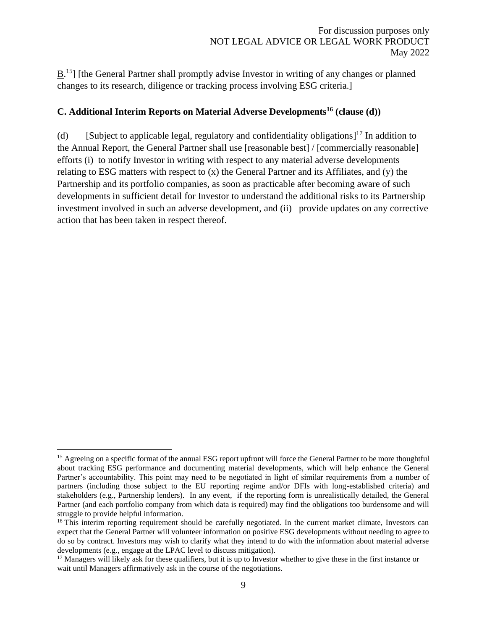$\underline{B}$ .<sup>15</sup>] [the General Partner shall promptly advise Investor in writing of any changes or planned changes to its research, diligence or tracking process involving ESG criteria.]

# <span id="page-8-0"></span>**C. Additional Interim Reports on Material Adverse Developments<sup>16</sup> (clause (d))**

(d) [Subject to applicable legal, regulatory and confidentiality obligations]<sup>17</sup> In addition to the Annual Report, the General Partner shall use [reasonable best] / [commercially reasonable] efforts (i) to notify Investor in writing with respect to any material adverse developments relating to ESG matters with respect to (x) the General Partner and its Affiliates, and (y) the Partnership and its portfolio companies, as soon as practicable after becoming aware of such developments in sufficient detail for Investor to understand the additional risks to its Partnership investment involved in such an adverse development, and (ii) provide updates on any corrective action that has been taken in respect thereof.

<sup>&</sup>lt;sup>15</sup> Agreeing on a specific format of the annual ESG report upfront will force the General Partner to be more thoughtful about tracking ESG performance and documenting material developments, which will help enhance the General Partner's accountability. This point may need to be negotiated in light of similar requirements from a number of partners (including those subject to the EU reporting regime and/or DFIs with long-established criteria) and stakeholders (e.g., Partnership lenders). In any event, if the reporting form is unrealistically detailed, the General Partner (and each portfolio company from which data is required) may find the obligations too burdensome and will struggle to provide helpful information.

<sup>&</sup>lt;sup>16</sup> This interim reporting requirement should be carefully negotiated. In the current market climate, Investors can expect that the General Partner will volunteer information on positive ESG developments without needing to agree to do so by contract. Investors may wish to clarify what they intend to do with the information about material adverse developments (e.g., engage at the LPAC level to discuss mitigation).

<sup>&</sup>lt;sup>17</sup> Managers will likely ask for these qualifiers, but it is up to Investor whether to give these in the first instance or wait until Managers affirmatively ask in the course of the negotiations.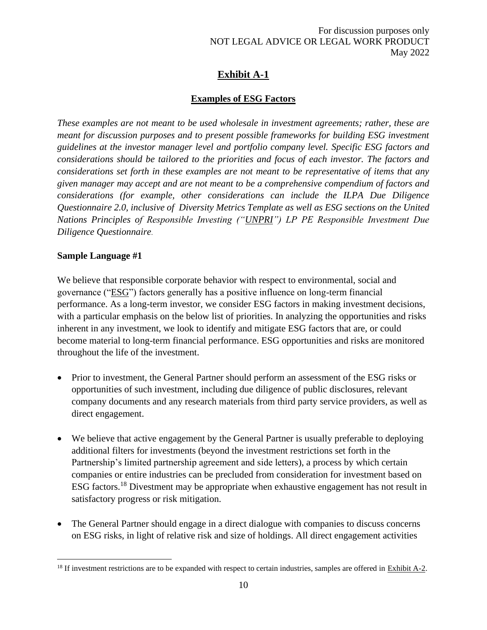# **Exhibit A-1**

# **Examples of ESG Factors**

<span id="page-9-0"></span>*These examples are not meant to be used wholesale in investment agreements; rather, these are meant for discussion purposes and to present possible frameworks for building ESG investment guidelines at the investor manager level and portfolio company level. Specific ESG factors and considerations should be tailored to the priorities and focus of each investor. The factors and considerations set forth in these examples are not meant to be representative of items that any given manager may accept and are not meant to be a comprehensive compendium of factors and considerations (for example, other considerations can include the ILPA Due Diligence Questionnaire 2.0, inclusive of Diversity Metrics Template as well as ESG sections on the United Nations Principles of Responsible Investing ("UNPRI") LP PE Responsible Investment Due Diligence Questionnaire*.

## **Sample Language #1**

We believe that responsible corporate behavior with respect to environmental, social and governance ("ESG") factors generally has a positive influence on long-term financial performance. As a long-term investor, we consider ESG factors in making investment decisions, with a particular emphasis on the below list of priorities. In analyzing the opportunities and risks inherent in any investment, we look to identify and mitigate ESG factors that are, or could become material to long-term financial performance. ESG opportunities and risks are monitored throughout the life of the investment.

- Prior to investment, the General Partner should perform an assessment of the ESG risks or opportunities of such investment, including due diligence of public disclosures, relevant company documents and any research materials from third party service providers, as well as direct engagement.
- We believe that active engagement by the General Partner is usually preferable to deploying additional filters for investments (beyond the investment restrictions set forth in the Partnership's limited partnership agreement and side letters), a process by which certain companies or entire industries can be precluded from consideration for investment based on ESG factors.<sup>18</sup> Divestment may be appropriate when exhaustive engagement has not result in satisfactory progress or risk mitigation.
- The General Partner should engage in a direct dialogue with companies to discuss concerns on ESG risks, in light of relative risk and size of holdings. All direct engagement activities

 $18$  If investment restrictions are to be expanded with respect to certain industries, samples are offered in Exhibit A-2.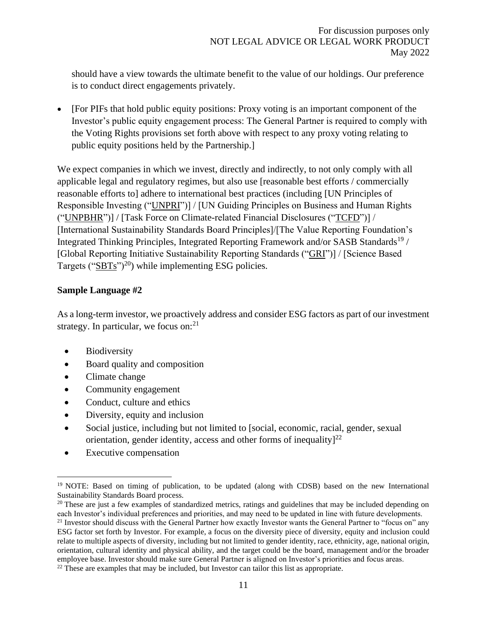should have a view towards the ultimate benefit to the value of our holdings. Our preference is to conduct direct engagements privately.

• [For PIFs that hold public equity positions: Proxy voting is an important component of the Investor's public equity engagement process: The General Partner is required to comply with the Voting Rights provisions set forth above with respect to any proxy voting relating to public equity positions held by the Partnership.]

We expect companies in which we invest, directly and indirectly, to not only comply with all applicable legal and regulatory regimes, but also use [reasonable best efforts / commercially reasonable efforts to] adhere to international best practices (including [UN Principles of Responsible Investing ("UNPRI")] / [UN Guiding Principles on Business and Human Rights ("UNPBHR")] / [Task Force on Climate-related Financial Disclosures ("TCFD")] / [International Sustainability Standards Board Principles]/[The Value Reporting Foundation's Integrated Thinking Principles, Integrated Reporting Framework and/or SASB Standards<sup>19</sup> / [Global Reporting Initiative Sustainability Reporting Standards ("GRI")] / [Science Based Targets ("SBTs")<sup>20</sup>) while implementing ESG policies.

## **Sample Language #2**

As a long-term investor, we proactively address and consider ESG factors as part of our investment strategy. In particular, we focus on: $21$ 

- Biodiversity
- Board quality and composition
- Climate change
- Community engagement
- Conduct, culture and ethics
- Diversity, equity and inclusion
- Social justice, including but not limited to [social, economic, racial, gender, sexual orientation, gender identity, access and other forms of inequality $]^{22}$
- Executive compensation

<sup>&</sup>lt;sup>19</sup> NOTE: Based on timing of publication, to be updated (along with CDSB) based on the new International Sustainability Standards Board process.

<sup>&</sup>lt;sup>20</sup> These are just a few examples of standardized metrics, ratings and guidelines that may be included depending on each Investor's individual preferences and priorities, and may need to be updated in line with future developments.

<sup>&</sup>lt;sup>21</sup> Investor should discuss with the General Partner how exactly Investor wants the General Partner to "focus on" any ESG factor set forth by Investor. For example, a focus on the diversity piece of diversity, equity and inclusion could relate to multiple aspects of diversity, including but not limited to gender identity, race, ethnicity, age, national origin, orientation, cultural identity and physical ability, and the target could be the board, management and/or the broader employee base. Investor should make sure General Partner is aligned on Investor's priorities and focus areas.

 $22$  These are examples that may be included, but Investor can tailor this list as appropriate.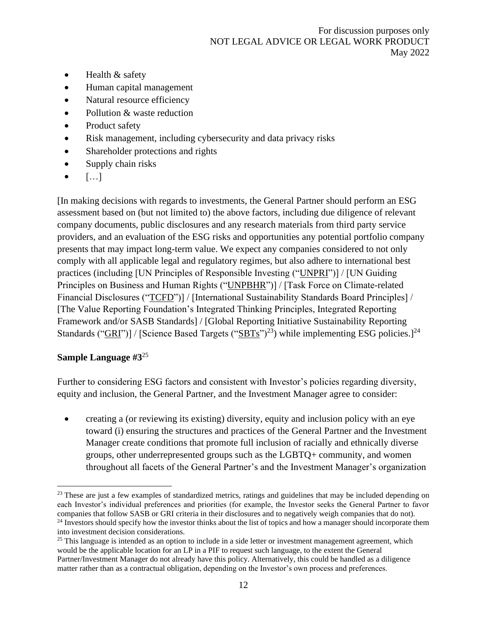- Health & safety
- Human capital management
- Natural resource efficiency
- Pollution & waste reduction
- Product safety
- Risk management, including cybersecurity and data privacy risks
- Shareholder protections and rights
- Supply chain risks
- $\bullet$  [...]

[In making decisions with regards to investments, the General Partner should perform an ESG assessment based on (but not limited to) the above factors, including due diligence of relevant company documents, public disclosures and any research materials from third party service providers, and an evaluation of the ESG risks and opportunities any potential portfolio company presents that may impact long-term value. We expect any companies considered to not only comply with all applicable legal and regulatory regimes, but also adhere to international best practices (including [UN Principles of Responsible Investing ("UNPRI")] / [UN Guiding Principles on Business and Human Rights ("UNPBHR")] / [Task Force on Climate-related Financial Disclosures ("TCFD")] / [International Sustainability Standards Board Principles] / [The Value Reporting Foundation's Integrated Thinking Principles, Integrated Reporting Framework and/or SASB Standards] / [Global Reporting Initiative Sustainability Reporting Standards (" $GRI$ ")] / [Science Based Targets (" $SBTs$ ")<sup>23</sup>) while implementing ESG policies.]<sup>24</sup>

# **Sample Language #3**<sup>25</sup>

Further to considering ESG factors and consistent with Investor's policies regarding diversity, equity and inclusion, the General Partner, and the Investment Manager agree to consider:

• creating a (or reviewing its existing) diversity, equity and inclusion policy with an eye toward (i) ensuring the structures and practices of the General Partner and the Investment Manager create conditions that promote full inclusion of racially and ethnically diverse groups, other underrepresented groups such as the LGBTQ+ community, and women throughout all facets of the General Partner's and the Investment Manager's organization

<sup>&</sup>lt;sup>23</sup> These are just a few examples of standardized metrics, ratings and guidelines that may be included depending on each Investor's individual preferences and priorities (for example, the Investor seeks the General Partner to favor companies that follow SASB or GRI criteria in their disclosures and to negatively weigh companies that do not). <sup>24</sup> Investors should specify how the investor thinks about the list of topics and how a manager should incorporate them into investment decision considerations.

 $25$  This language is intended as an option to include in a side letter or investment management agreement, which would be the applicable location for an LP in a PIF to request such language, to the extent the General Partner/Investment Manager do not already have this policy. Alternatively, this could be handled as a diligence matter rather than as a contractual obligation, depending on the Investor's own process and preferences.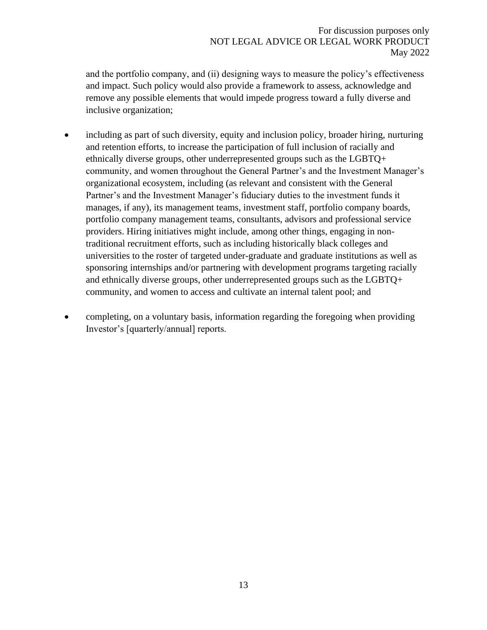and the portfolio company, and (ii) designing ways to measure the policy's effectiveness and impact. Such policy would also provide a framework to assess, acknowledge and remove any possible elements that would impede progress toward a fully diverse and inclusive organization;

- including as part of such diversity, equity and inclusion policy, broader hiring, nurturing and retention efforts, to increase the participation of full inclusion of racially and ethnically diverse groups, other underrepresented groups such as the LGBTQ+ community, and women throughout the General Partner's and the Investment Manager's organizational ecosystem, including (as relevant and consistent with the General Partner's and the Investment Manager's fiduciary duties to the investment funds it manages, if any), its management teams, investment staff, portfolio company boards, portfolio company management teams, consultants, advisors and professional service providers. Hiring initiatives might include, among other things, engaging in nontraditional recruitment efforts, such as including historically black colleges and universities to the roster of targeted under-graduate and graduate institutions as well as sponsoring internships and/or partnering with development programs targeting racially and ethnically diverse groups, other underrepresented groups such as the LGBTQ+ community, and women to access and cultivate an internal talent pool; and
- completing, on a voluntary basis, information regarding the foregoing when providing Investor's [quarterly/annual] reports.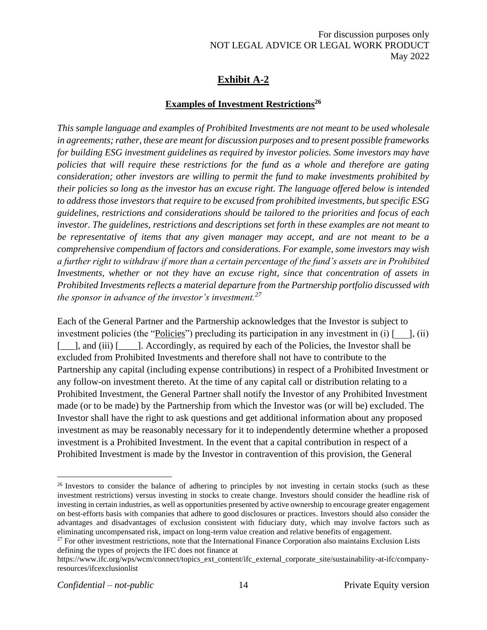# **Exhibit A-2**

# **Examples of Investment Restrictions<sup>26</sup>**

<span id="page-13-0"></span>*This sample language and examples of Prohibited Investments are not meant to be used wholesale in agreements; rather, these are meant for discussion purposes and to present possible frameworks for building ESG investment guidelines as required by investor policies. Some investors may have policies that will require these restrictions for the fund as a whole and therefore are gating consideration; other investors are willing to permit the fund to make investments prohibited by their policies so long as the investor has an excuse right. The language offered below is intended to address those investors that require to be excused from prohibited investments, but specific ESG guidelines, restrictions and considerations should be tailored to the priorities and focus of each investor. The guidelines, restrictions and descriptions set forth in these examples are not meant to be representative of items that any given manager may accept, and are not meant to be a comprehensive compendium of factors and considerations. For example, some investors may wish a further right to withdraw if more than a certain percentage of the fund's assets are in Prohibited Investments, whether or not they have an excuse right, since that concentration of assets in Prohibited Investments reflects a material departure from the Partnership portfolio discussed with the sponsor in advance of the investor's investment.<sup>27</sup>* 

Each of the General Partner and the Partnership acknowledges that the Investor is subject to investment policies (the "Policies") precluding its participation in any investment in (i)  $\lceil \quad \rceil$ , (ii) [\_\_\_], and (iii) [\_\_\_\_\_]. Accordingly, as required by each of the Policies, the Investor shall be excluded from Prohibited Investments and therefore shall not have to contribute to the Partnership any capital (including expense contributions) in respect of a Prohibited Investment or any follow-on investment thereto. At the time of any capital call or distribution relating to a Prohibited Investment, the General Partner shall notify the Investor of any Prohibited Investment made (or to be made) by the Partnership from which the Investor was (or will be) excluded. The Investor shall have the right to ask questions and get additional information about any proposed investment as may be reasonably necessary for it to independently determine whether a proposed investment is a Prohibited Investment. In the event that a capital contribution in respect of a Prohibited Investment is made by the Investor in contravention of this provision, the General

<sup>&</sup>lt;sup>26</sup> Investors to consider the balance of adhering to principles by not investing in certain stocks (such as these investment restrictions) versus investing in stocks to create change. Investors should consider the headline risk of investing in certain industries, as well as opportunities presented by active ownership to encourage greater engagement on best-efforts basis with companies that adhere to good disclosures or practices. Investors should also consider the advantages and disadvantages of exclusion consistent with fiduciary duty, which may involve factors such as eliminating uncompensated risk, impact on long-term value creation and relative benefits of engagement.

<sup>&</sup>lt;sup>27</sup> For other investment restrictions, note that the International Finance Corporation also maintains Exclusion Lists defining the types of projects the IFC does not finance at

https://www.ifc.org/wps/wcm/connect/topics\_ext\_content/ifc\_external\_corporate\_site/sustainability-at-ifc/companyresources/ifcexclusionlist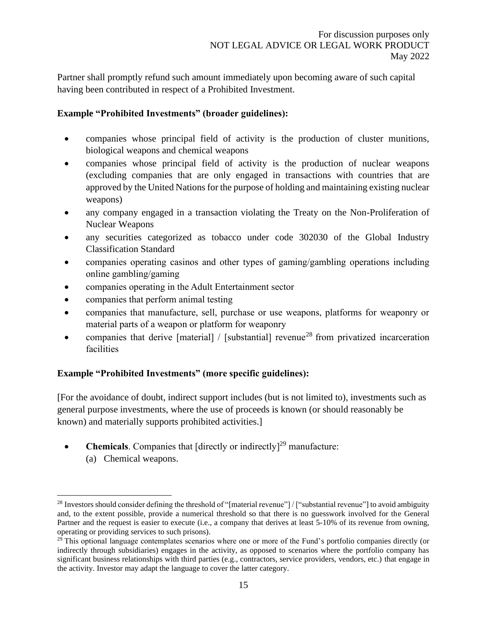Partner shall promptly refund such amount immediately upon becoming aware of such capital having been contributed in respect of a Prohibited Investment.

### **Example "Prohibited Investments" (broader guidelines):**

- companies whose principal field of activity is the production of cluster munitions, biological weapons and chemical weapons
- companies whose principal field of activity is the production of nuclear weapons (excluding companies that are only engaged in transactions with countries that are approved by the United Nations for the purpose of holding and maintaining existing nuclear weapons)
- any company engaged in a transaction violating the Treaty on the Non-Proliferation of Nuclear Weapons
- any securities categorized as tobacco under code 302030 of the Global Industry Classification Standard
- companies operating casinos and other types of gaming/gambling operations including online gambling/gaming
- companies operating in the Adult Entertainment sector
- companies that perform animal testing
- companies that manufacture, sell, purchase or use weapons, platforms for weaponry or material parts of a weapon or platform for weaponry
- companies that derive [material] / [substantial] revenue<sup>28</sup> from privatized incarceration facilities

## **Example "Prohibited Investments" (more specific guidelines):**

[For the avoidance of doubt, indirect support includes (but is not limited to), investments such as general purpose investments, where the use of proceeds is known (or should reasonably be known) and materially supports prohibited activities.]

- **Chemicals**. Companies that [directly or indirectly]<sup>29</sup> manufacture:
	- (a) Chemical weapons.

<sup>&</sup>lt;sup>28</sup> Investors should consider defining the threshold of "[material revenue"] / ["substantial revenue"] to avoid ambiguity and, to the extent possible, provide a numerical threshold so that there is no guesswork involved for the General Partner and the request is easier to execute (i.e., a company that derives at least 5-10% of its revenue from owning, operating or providing services to such prisons).

 $^{29}$  This optional language contemplates scenarios where one or more of the Fund's portfolio companies directly (or indirectly through subsidiaries) engages in the activity, as opposed to scenarios where the portfolio company has significant business relationships with third parties (e.g., contractors, service providers, vendors, etc.) that engage in the activity. Investor may adapt the language to cover the latter category.